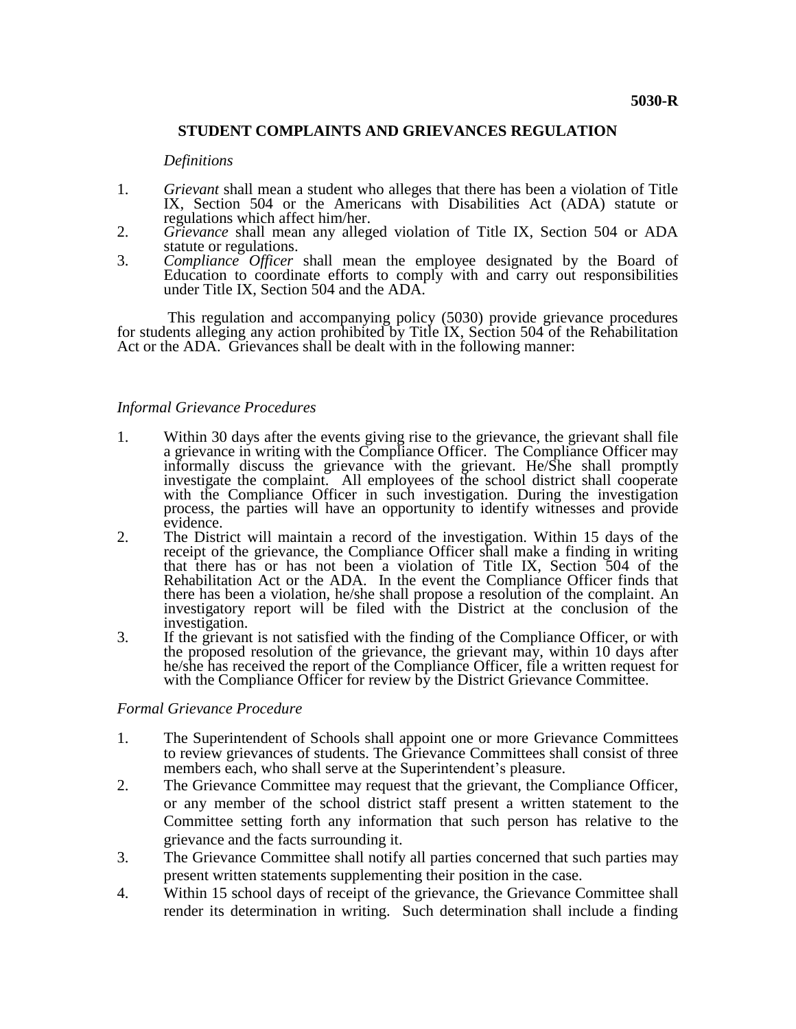# **STUDENT COMPLAINTS AND GRIEVANCES REGULATION**

#### *Definitions*

- 1. *Grievant* shall mean a student who alleges that there has been a violation of Title IX, Section 504 or the Americans with Disabilities Act (ADA) statute or regulations which affect him/her.
- 2. *Grievance* shall mean any alleged violation of Title IX, Section 504 or ADA statute or regulations.
- 3. *Compliance Officer* shall mean the employee designated by the Board of Education to coordinate efforts to comply with and carry out responsibilities under Title IX, Section 504 and the ADA.

This regulation and accompanying policy (5030) provide grievance procedures for students alleging any action prohibited by Title IX, Section 504 of the Rehabilitation Act or the ADA. Grievances shall be dealt with in the following manner:

## *Informal Grievance Procedures*

- 1. Within 30 days after the events giving rise to the grievance, the grievant shall file a grievance in writing with the Compliance Officer. The Compliance Officer may informally discuss the grievance with the grievant. He/She shall promptly investigate the complaint. All employees of the school district shall cooperate with the Compliance Officer in such investigation. During the investigation process, the parties will have an opportunity to identify witnesses and provide evidence.
- 2. The District will maintain a record of the investigation. Within 15 days of the receipt of the grievance, the Compliance Officer shall make a finding in writing that there has or has not been a violation of Title IX, Section 504 of the Rehabilitation Act or the ADA. In the event the Compliance Officer finds that there has been a violation, he/she shall propose a resolution of the complaint. An investigatory report will be filed with the District at the conclusion of the investigation.
- 3. If the grievant is not satisfied with the finding of the Compliance Officer, or with the proposed resolution of the grievance, the grievant may, within 10 days after he/she has received the report of the Compliance Officer, file a written request for with the Compliance Officer for review by the District Grievance Committee.

## *Formal Grievance Procedure*

- 1. The Superintendent of Schools shall appoint one or more Grievance Committees to review grievances of students. The Grievance Committees shall consist of three members each, who shall serve at the Superintendent's pleasure.
- 2. The Grievance Committee may request that the grievant, the Compliance Officer, or any member of the school district staff present a written statement to the Committee setting forth any information that such person has relative to the grievance and the facts surrounding it.
- 3. The Grievance Committee shall notify all parties concerned that such parties may present written statements supplementing their position in the case.
- 4. Within 15 school days of receipt of the grievance, the Grievance Committee shall render its determination in writing. Such determination shall include a finding